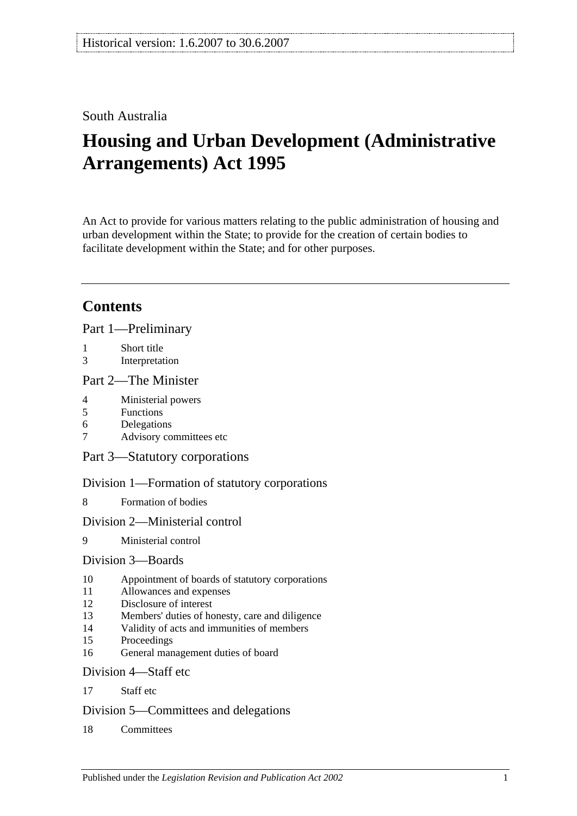## South Australia

# **Housing and Urban Development (Administrative Arrangements) Act 1995**

An Act to provide for various matters relating to the public administration of housing and urban development within the State; to provide for the creation of certain bodies to facilitate development within the State; and for other purposes.

## **Contents**

[Part 1—Preliminary](#page-1-0)

- 1 [Short title](#page-1-1)
- 3 [Interpretation](#page-2-0)

#### [Part 2—The Minister](#page-3-0)

- 4 [Ministerial powers](#page-3-1)
- 5 [Functions](#page-3-2)
- 6 [Delegations](#page-4-0)
- 7 [Advisory committees etc](#page-4-1)

[Part 3—Statutory corporations](#page-5-0)

[Division 1—Formation of statutory corporations](#page-5-1)

8 [Formation of bodies](#page-5-2)

#### [Division 2—Ministerial control](#page-6-0)

9 [Ministerial control](#page-6-1)

#### [Division 3—Boards](#page-6-2)

- 10 [Appointment of boards of statutory corporations](#page-6-3)
- 11 [Allowances and expenses](#page-7-0)
- 12 [Disclosure of interest](#page-7-1)
- 13 [Members' duties of honesty, care and diligence](#page-8-0)
- 14 [Validity of acts and immunities of members](#page-8-1)
- 15 [Proceedings](#page-9-0)
- 16 [General management duties of board](#page-9-1)

#### [Division 4—Staff etc](#page-10-0)

17 [Staff etc](#page-10-1)

#### [Division 5—Committees and delegations](#page-10-2)

18 [Committees](#page-10-3)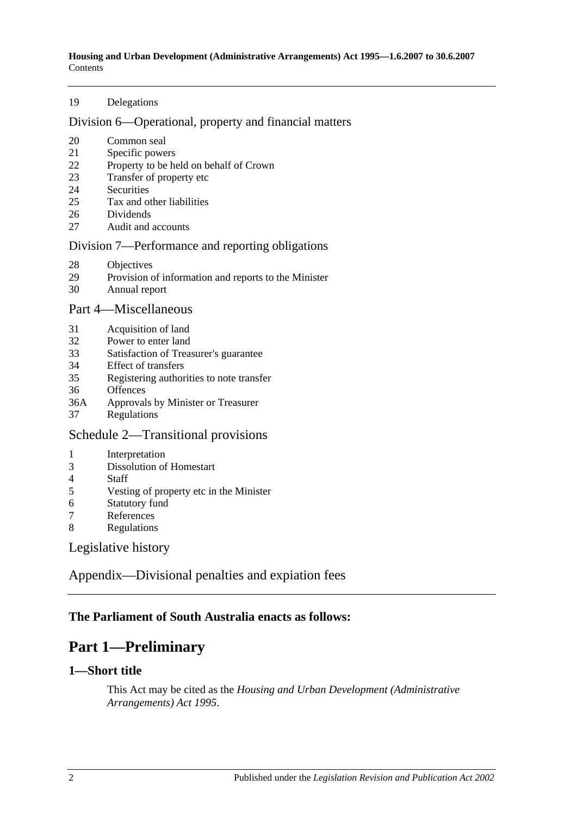**Housing and Urban Development (Administrative Arrangements) Act 1995—1.6.2007 to 30.6.2007** Contents

#### [Delegations](#page-11-0)

#### [Division 6—Operational, property and financial matters](#page-11-1)

- [Common seal](#page-11-2)
- [Specific powers](#page-11-3)
- [Property to be held on behalf of Crown](#page-12-0)
- [Transfer of property etc](#page-12-1)
- [Securities](#page-12-2)
- [Tax and other liabilities](#page-13-0)
- [Dividends](#page-13-1)
- [Audit and accounts](#page-14-0)

#### [Division 7—Performance and reporting obligations](#page-14-1)

- [Objectives](#page-14-2)
- [Provision of information and reports to the Minister](#page-15-0)
- [Annual report](#page-15-1)

#### [Part 4—Miscellaneous](#page-15-2)

- [Acquisition of land](#page-15-3)
- [Power to enter land](#page-15-4)
- [Satisfaction of Treasurer's guarantee](#page-16-0)
- [Effect of transfers](#page-16-1)
- [Registering authorities to note transfer](#page-16-2)
- [Offences](#page-16-3)
- 36A [Approvals by Minister or Treasurer](#page-16-4)
- [Regulations](#page-17-0)

#### [Schedule 2—Transitional provisions](#page-17-1)

- [Interpretation](#page-17-2)
- [Dissolution of Homestart](#page-17-3)
- [Staff](#page-18-0)
- [Vesting of property etc in the Minister](#page-18-1)
- [Statutory fund](#page-18-2)<br>7 References
- **[References](#page-18-3)**
- [Regulations](#page-19-0)

[Legislative history](#page-20-0)

[Appendix—Divisional penalties and expiation fees](#page-22-0)

#### <span id="page-1-0"></span>**The Parliament of South Australia enacts as follows:**

## **Part 1—Preliminary**

#### <span id="page-1-1"></span>**1—Short title**

This Act may be cited as the *Housing and Urban Development (Administrative Arrangements) Act 1995*.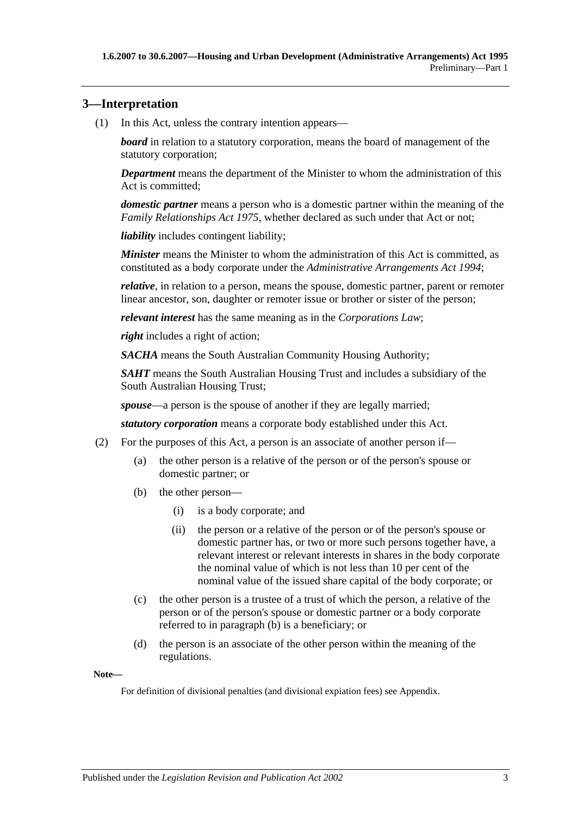### <span id="page-2-0"></span>**3—Interpretation**

(1) In this Act, unless the contrary intention appears—

*board* in relation to a statutory corporation, means the board of management of the statutory corporation;

*Department* means the department of the Minister to whom the administration of this Act is committed;

*domestic partner* means a person who is a domestic partner within the meaning of the *[Family Relationships Act](http://www.legislation.sa.gov.au/index.aspx?action=legref&type=act&legtitle=Family%20Relationships%20Act%201975) 1975*, whether declared as such under that Act or not;

*liability* includes contingent liability;

*Minister* means the Minister to whom the administration of this Act is committed, as constituted as a body corporate under the *[Administrative Arrangements Act](http://www.legislation.sa.gov.au/index.aspx?action=legref&type=act&legtitle=Administrative%20Arrangements%20Act%201994) 1994*;

*relative*, in relation to a person, means the spouse, domestic partner, parent or remoter linear ancestor, son, daughter or remoter issue or brother or sister of the person;

*relevant interest* has the same meaning as in the *Corporations Law*;

*right* includes a right of action;

*SACHA* means the South Australian Community Housing Authority;

*SAHT* means the South Australian Housing Trust and includes a subsidiary of the South Australian Housing Trust;

*spouse*—a person is the spouse of another if they are legally married;

*statutory corporation* means a corporate body established under this Act.

- <span id="page-2-1"></span>(2) For the purposes of this Act, a person is an associate of another person if—
	- (a) the other person is a relative of the person or of the person's spouse or domestic partner; or
	- (b) the other person—
		- (i) is a body corporate; and
		- (ii) the person or a relative of the person or of the person's spouse or domestic partner has, or two or more such persons together have, a relevant interest or relevant interests in shares in the body corporate the nominal value of which is not less than 10 per cent of the nominal value of the issued share capital of the body corporate; or
	- (c) the other person is a trustee of a trust of which the person, a relative of the person or of the person's spouse or domestic partner or a body corporate referred to in [paragraph](#page-2-1) (b) is a beneficiary; or
	- (d) the person is an associate of the other person within the meaning of the regulations.

**Note—**

For definition of divisional penalties (and divisional expiation fees) see Appendix.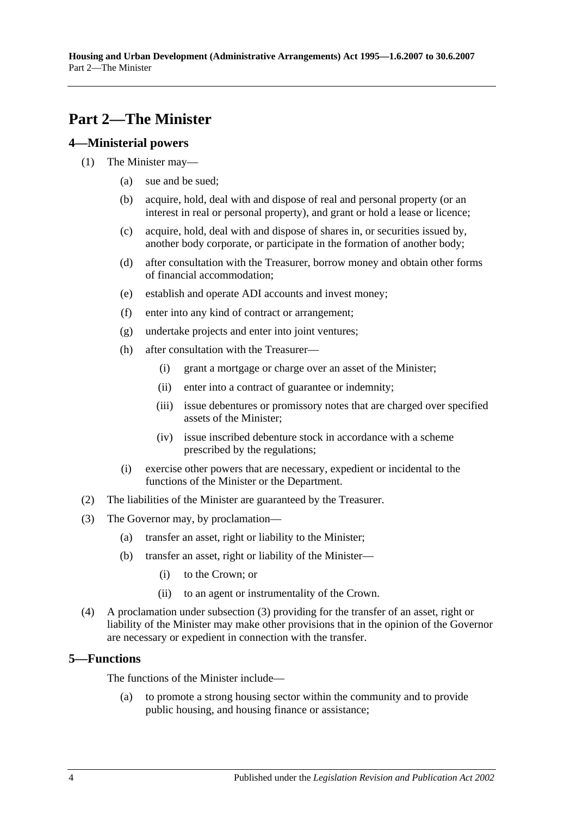## <span id="page-3-0"></span>**Part 2—The Minister**

#### <span id="page-3-1"></span>**4—Ministerial powers**

- (1) The Minister may—
	- (a) sue and be sued;
	- (b) acquire, hold, deal with and dispose of real and personal property (or an interest in real or personal property), and grant or hold a lease or licence;
	- (c) acquire, hold, deal with and dispose of shares in, or securities issued by, another body corporate, or participate in the formation of another body;
	- (d) after consultation with the Treasurer, borrow money and obtain other forms of financial accommodation;
	- (e) establish and operate ADI accounts and invest money;
	- (f) enter into any kind of contract or arrangement;
	- (g) undertake projects and enter into joint ventures;
	- (h) after consultation with the Treasurer—
		- (i) grant a mortgage or charge over an asset of the Minister;
		- (ii) enter into a contract of guarantee or indemnity;
		- (iii) issue debentures or promissory notes that are charged over specified assets of the Minister;
		- (iv) issue inscribed debenture stock in accordance with a scheme prescribed by the regulations;
	- (i) exercise other powers that are necessary, expedient or incidental to the functions of the Minister or the Department.
- (2) The liabilities of the Minister are guaranteed by the Treasurer.
- <span id="page-3-3"></span>(3) The Governor may, by proclamation—
	- (a) transfer an asset, right or liability to the Minister;
	- (b) transfer an asset, right or liability of the Minister—
		- (i) to the Crown; or
		- (ii) to an agent or instrumentality of the Crown.
- (4) A proclamation under [subsection](#page-3-3) (3) providing for the transfer of an asset, right or liability of the Minister may make other provisions that in the opinion of the Governor are necessary or expedient in connection with the transfer.

#### <span id="page-3-2"></span>**5—Functions**

The functions of the Minister include—

(a) to promote a strong housing sector within the community and to provide public housing, and housing finance or assistance;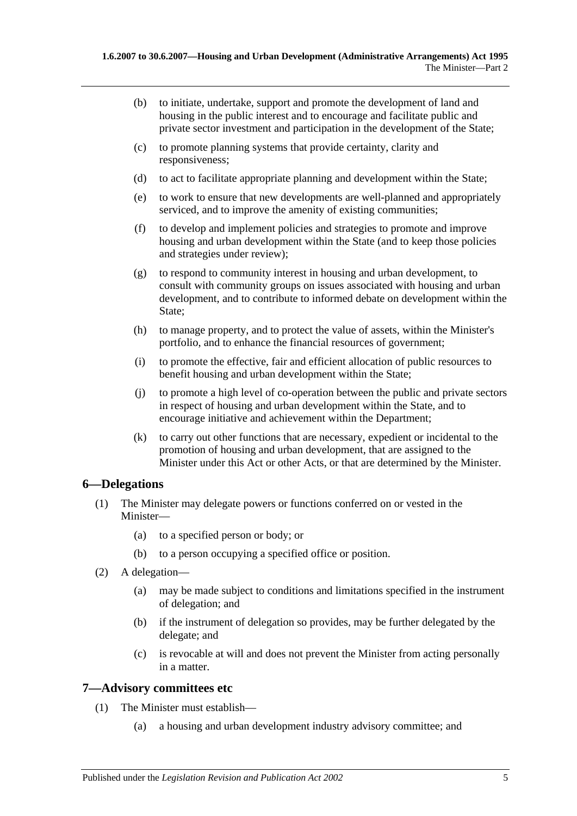- (b) to initiate, undertake, support and promote the development of land and housing in the public interest and to encourage and facilitate public and private sector investment and participation in the development of the State;
- (c) to promote planning systems that provide certainty, clarity and responsiveness;
- (d) to act to facilitate appropriate planning and development within the State;
- (e) to work to ensure that new developments are well-planned and appropriately serviced, and to improve the amenity of existing communities;
- (f) to develop and implement policies and strategies to promote and improve housing and urban development within the State (and to keep those policies and strategies under review);
- (g) to respond to community interest in housing and urban development, to consult with community groups on issues associated with housing and urban development, and to contribute to informed debate on development within the State;
- (h) to manage property, and to protect the value of assets, within the Minister's portfolio, and to enhance the financial resources of government;
- (i) to promote the effective, fair and efficient allocation of public resources to benefit housing and urban development within the State;
- (j) to promote a high level of co-operation between the public and private sectors in respect of housing and urban development within the State, and to encourage initiative and achievement within the Department;
- (k) to carry out other functions that are necessary, expedient or incidental to the promotion of housing and urban development, that are assigned to the Minister under this Act or other Acts, or that are determined by the Minister.

#### <span id="page-4-0"></span>**6—Delegations**

- (1) The Minister may delegate powers or functions conferred on or vested in the Minister—
	- (a) to a specified person or body; or
	- (b) to a person occupying a specified office or position.
- (2) A delegation—
	- (a) may be made subject to conditions and limitations specified in the instrument of delegation; and
	- (b) if the instrument of delegation so provides, may be further delegated by the delegate; and
	- (c) is revocable at will and does not prevent the Minister from acting personally in a matter.

#### <span id="page-4-1"></span>**7—Advisory committees etc**

- (1) The Minister must establish—
	- (a) a housing and urban development industry advisory committee; and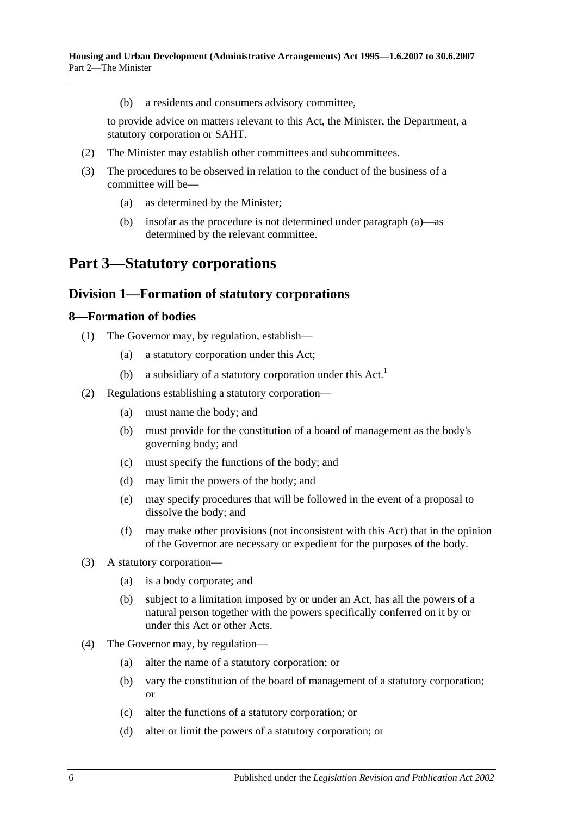(b) a residents and consumers advisory committee,

to provide advice on matters relevant to this Act, the Minister, the Department, a statutory corporation or SAHT.

- (2) The Minister may establish other committees and subcommittees.
- <span id="page-5-3"></span>(3) The procedures to be observed in relation to the conduct of the business of a committee will be—
	- (a) as determined by the Minister;
	- (b) insofar as the procedure is not determined under [paragraph](#page-5-3) (a)—as determined by the relevant committee.

## <span id="page-5-0"></span>**Part 3—Statutory corporations**

### <span id="page-5-1"></span>**Division 1—Formation of statutory corporations**

#### <span id="page-5-2"></span>**8—Formation of bodies**

- (1) The Governor may, by regulation, establish—
	- (a) a statutory corporation under this Act;
	- (b) a subsidiary of a statutory corporation under this  $Act.$ <sup>1</sup>
- <span id="page-5-5"></span>(2) Regulations establishing a statutory corporation—
	- (a) must name the body; and
	- (b) must provide for the constitution of a board of management as the body's governing body; and
	- (c) must specify the functions of the body; and
	- (d) may limit the powers of the body; and
	- (e) may specify procedures that will be followed in the event of a proposal to dissolve the body; and
	- (f) may make other provisions (not inconsistent with this Act) that in the opinion of the Governor are necessary or expedient for the purposes of the body.
- <span id="page-5-4"></span>(3) A statutory corporation—
	- (a) is a body corporate; and
	- (b) subject to a limitation imposed by or under an Act, has all the powers of a natural person together with the powers specifically conferred on it by or under this Act or other Acts.
- (4) The Governor may, by regulation—
	- (a) alter the name of a statutory corporation; or
	- (b) vary the constitution of the board of management of a statutory corporation; or
	- (c) alter the functions of a statutory corporation; or
	- (d) alter or limit the powers of a statutory corporation; or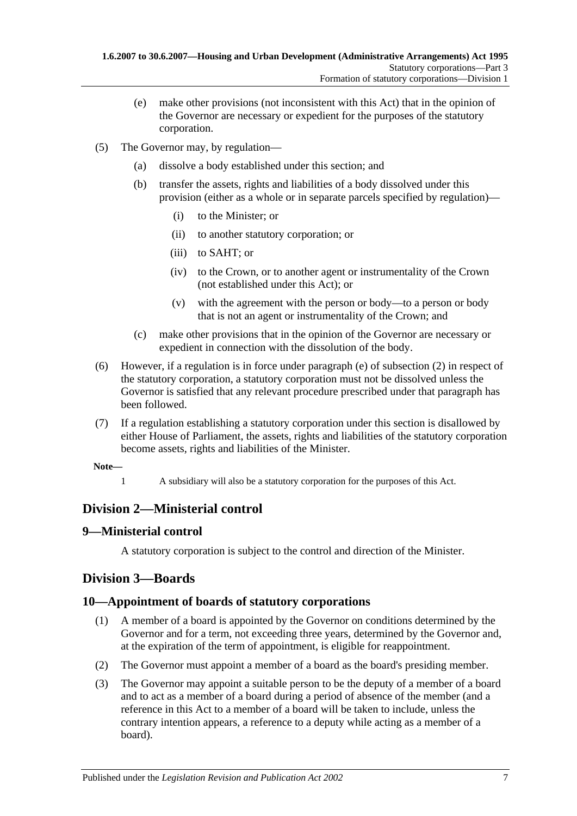- (e) make other provisions (not inconsistent with this Act) that in the opinion of the Governor are necessary or expedient for the purposes of the statutory corporation.
- (5) The Governor may, by regulation—
	- (a) dissolve a body established under this section; and
	- (b) transfer the assets, rights and liabilities of a body dissolved under this provision (either as a whole or in separate parcels specified by regulation)—
		- (i) to the Minister; or
		- (ii) to another statutory corporation; or
		- (iii) to SAHT; or
		- (iv) to the Crown, or to another agent or instrumentality of the Crown (not established under this Act); or
		- (v) with the agreement with the person or body—to a person or body that is not an agent or instrumentality of the Crown; and
	- (c) make other provisions that in the opinion of the Governor are necessary or expedient in connection with the dissolution of the body.
- (6) However, if a regulation is in force under [paragraph](#page-5-4) (e) of [subsection](#page-5-5) (2) in respect of the statutory corporation, a statutory corporation must not be dissolved unless the Governor is satisfied that any relevant procedure prescribed under that paragraph has been followed.
- (7) If a regulation establishing a statutory corporation under this section is disallowed by either House of Parliament, the assets, rights and liabilities of the statutory corporation become assets, rights and liabilities of the Minister.
- **Note—**
	- 1 A subsidiary will also be a statutory corporation for the purposes of this Act.

## <span id="page-6-0"></span>**Division 2—Ministerial control**

#### <span id="page-6-1"></span>**9—Ministerial control**

A statutory corporation is subject to the control and direction of the Minister.

## <span id="page-6-2"></span>**Division 3—Boards**

#### <span id="page-6-3"></span>**10—Appointment of boards of statutory corporations**

- (1) A member of a board is appointed by the Governor on conditions determined by the Governor and for a term, not exceeding three years, determined by the Governor and, at the expiration of the term of appointment, is eligible for reappointment.
- (2) The Governor must appoint a member of a board as the board's presiding member.
- (3) The Governor may appoint a suitable person to be the deputy of a member of a board and to act as a member of a board during a period of absence of the member (and a reference in this Act to a member of a board will be taken to include, unless the contrary intention appears, a reference to a deputy while acting as a member of a board).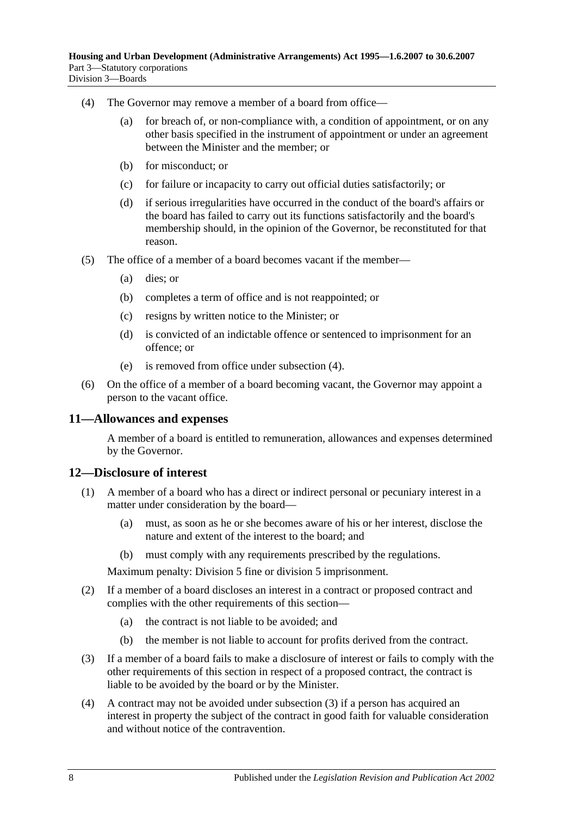- <span id="page-7-2"></span>(4) The Governor may remove a member of a board from office—
	- (a) for breach of, or non-compliance with, a condition of appointment, or on any other basis specified in the instrument of appointment or under an agreement between the Minister and the member; or
	- (b) for misconduct; or
	- (c) for failure or incapacity to carry out official duties satisfactorily; or
	- (d) if serious irregularities have occurred in the conduct of the board's affairs or the board has failed to carry out its functions satisfactorily and the board's membership should, in the opinion of the Governor, be reconstituted for that reason.
- (5) The office of a member of a board becomes vacant if the member—
	- (a) dies; or
	- (b) completes a term of office and is not reappointed; or
	- (c) resigns by written notice to the Minister; or
	- (d) is convicted of an indictable offence or sentenced to imprisonment for an offence; or
	- (e) is removed from office under [subsection](#page-7-2) (4).
- (6) On the office of a member of a board becoming vacant, the Governor may appoint a person to the vacant office.

#### <span id="page-7-0"></span>**11—Allowances and expenses**

A member of a board is entitled to remuneration, allowances and expenses determined by the Governor.

#### <span id="page-7-1"></span>**12—Disclosure of interest**

- (1) A member of a board who has a direct or indirect personal or pecuniary interest in a matter under consideration by the board—
	- (a) must, as soon as he or she becomes aware of his or her interest, disclose the nature and extent of the interest to the board; and
	- (b) must comply with any requirements prescribed by the regulations.

Maximum penalty: Division 5 fine or division 5 imprisonment.

- (2) If a member of a board discloses an interest in a contract or proposed contract and complies with the other requirements of this section—
	- (a) the contract is not liable to be avoided; and
	- (b) the member is not liable to account for profits derived from the contract.
- <span id="page-7-3"></span>(3) If a member of a board fails to make a disclosure of interest or fails to comply with the other requirements of this section in respect of a proposed contract, the contract is liable to be avoided by the board or by the Minister.
- (4) A contract may not be avoided under [subsection](#page-7-3) (3) if a person has acquired an interest in property the subject of the contract in good faith for valuable consideration and without notice of the contravention.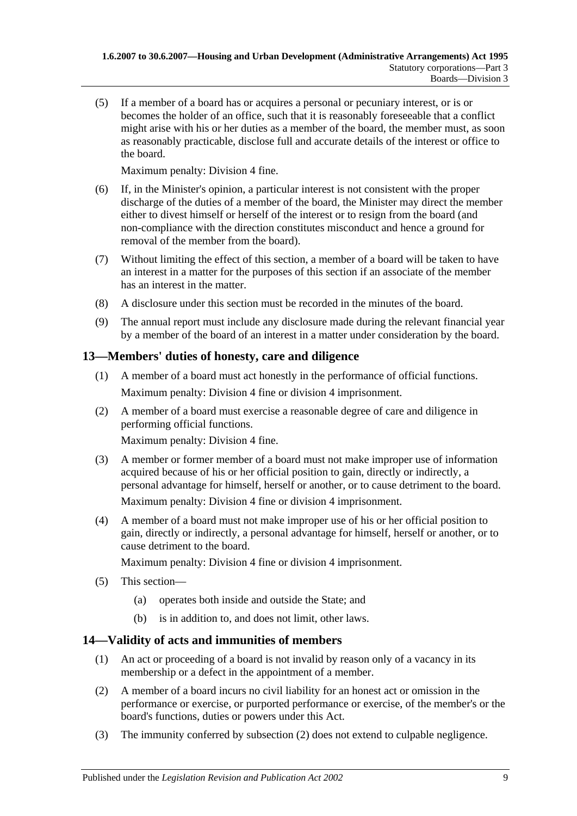(5) If a member of a board has or acquires a personal or pecuniary interest, or is or becomes the holder of an office, such that it is reasonably foreseeable that a conflict might arise with his or her duties as a member of the board, the member must, as soon as reasonably practicable, disclose full and accurate details of the interest or office to the board.

Maximum penalty: Division 4 fine.

- (6) If, in the Minister's opinion, a particular interest is not consistent with the proper discharge of the duties of a member of the board, the Minister may direct the member either to divest himself or herself of the interest or to resign from the board (and non-compliance with the direction constitutes misconduct and hence a ground for removal of the member from the board).
- (7) Without limiting the effect of this section, a member of a board will be taken to have an interest in a matter for the purposes of this section if an associate of the member has an interest in the matter.
- (8) A disclosure under this section must be recorded in the minutes of the board.
- (9) The annual report must include any disclosure made during the relevant financial year by a member of the board of an interest in a matter under consideration by the board.

### <span id="page-8-0"></span>**13—Members' duties of honesty, care and diligence**

- (1) A member of a board must act honestly in the performance of official functions. Maximum penalty: Division 4 fine or division 4 imprisonment.
- (2) A member of a board must exercise a reasonable degree of care and diligence in performing official functions.

Maximum penalty: Division 4 fine.

(3) A member or former member of a board must not make improper use of information acquired because of his or her official position to gain, directly or indirectly, a personal advantage for himself, herself or another, or to cause detriment to the board.

Maximum penalty: Division 4 fine or division 4 imprisonment.

(4) A member of a board must not make improper use of his or her official position to gain, directly or indirectly, a personal advantage for himself, herself or another, or to cause detriment to the board.

Maximum penalty: Division 4 fine or division 4 imprisonment.

- (5) This section—
	- (a) operates both inside and outside the State; and
	- (b) is in addition to, and does not limit, other laws.

## <span id="page-8-1"></span>**14—Validity of acts and immunities of members**

- (1) An act or proceeding of a board is not invalid by reason only of a vacancy in its membership or a defect in the appointment of a member.
- <span id="page-8-2"></span>(2) A member of a board incurs no civil liability for an honest act or omission in the performance or exercise, or purported performance or exercise, of the member's or the board's functions, duties or powers under this Act.
- (3) The immunity conferred by [subsection](#page-8-2) (2) does not extend to culpable negligence.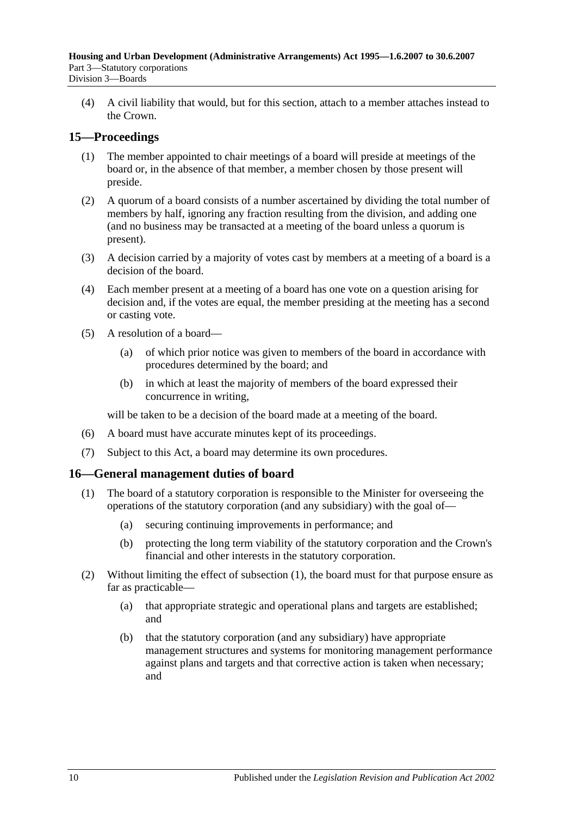(4) A civil liability that would, but for this section, attach to a member attaches instead to the Crown.

## <span id="page-9-0"></span>**15—Proceedings**

- (1) The member appointed to chair meetings of a board will preside at meetings of the board or, in the absence of that member, a member chosen by those present will preside.
- (2) A quorum of a board consists of a number ascertained by dividing the total number of members by half, ignoring any fraction resulting from the division, and adding one (and no business may be transacted at a meeting of the board unless a quorum is present).
- (3) A decision carried by a majority of votes cast by members at a meeting of a board is a decision of the board.
- (4) Each member present at a meeting of a board has one vote on a question arising for decision and, if the votes are equal, the member presiding at the meeting has a second or casting vote.
- (5) A resolution of a board—
	- (a) of which prior notice was given to members of the board in accordance with procedures determined by the board; and
	- (b) in which at least the majority of members of the board expressed their concurrence in writing,

will be taken to be a decision of the board made at a meeting of the board.

- (6) A board must have accurate minutes kept of its proceedings.
- (7) Subject to this Act, a board may determine its own procedures.

#### <span id="page-9-2"></span><span id="page-9-1"></span>**16—General management duties of board**

- (1) The board of a statutory corporation is responsible to the Minister for overseeing the operations of the statutory corporation (and any subsidiary) with the goal of—
	- (a) securing continuing improvements in performance; and
	- (b) protecting the long term viability of the statutory corporation and the Crown's financial and other interests in the statutory corporation.
- (2) Without limiting the effect of [subsection](#page-9-2) (1), the board must for that purpose ensure as far as practicable—
	- (a) that appropriate strategic and operational plans and targets are established; and
	- (b) that the statutory corporation (and any subsidiary) have appropriate management structures and systems for monitoring management performance against plans and targets and that corrective action is taken when necessary; and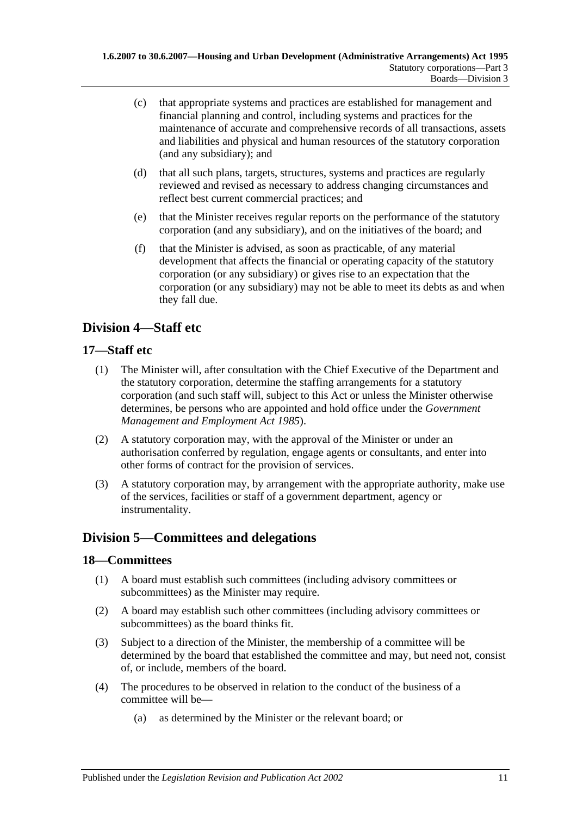- (c) that appropriate systems and practices are established for management and financial planning and control, including systems and practices for the maintenance of accurate and comprehensive records of all transactions, assets and liabilities and physical and human resources of the statutory corporation (and any subsidiary); and
- (d) that all such plans, targets, structures, systems and practices are regularly reviewed and revised as necessary to address changing circumstances and reflect best current commercial practices; and
- (e) that the Minister receives regular reports on the performance of the statutory corporation (and any subsidiary), and on the initiatives of the board; and
- (f) that the Minister is advised, as soon as practicable, of any material development that affects the financial or operating capacity of the statutory corporation (or any subsidiary) or gives rise to an expectation that the corporation (or any subsidiary) may not be able to meet its debts as and when they fall due.

## <span id="page-10-0"></span>**Division 4—Staff etc**

### <span id="page-10-1"></span>**17—Staff etc**

- (1) The Minister will, after consultation with the Chief Executive of the Department and the statutory corporation, determine the staffing arrangements for a statutory corporation (and such staff will, subject to this Act or unless the Minister otherwise determines, be persons who are appointed and hold office under the *[Government](http://www.legislation.sa.gov.au/index.aspx?action=legref&type=act&legtitle=Government%20Management%20and%20Employment%20Act%201985)  [Management and Employment Act](http://www.legislation.sa.gov.au/index.aspx?action=legref&type=act&legtitle=Government%20Management%20and%20Employment%20Act%201985) 1985*).
- (2) A statutory corporation may, with the approval of the Minister or under an authorisation conferred by regulation, engage agents or consultants, and enter into other forms of contract for the provision of services.
- (3) A statutory corporation may, by arrangement with the appropriate authority, make use of the services, facilities or staff of a government department, agency or instrumentality.

## <span id="page-10-2"></span>**Division 5—Committees and delegations**

#### <span id="page-10-3"></span>**18—Committees**

- (1) A board must establish such committees (including advisory committees or subcommittees) as the Minister may require.
- (2) A board may establish such other committees (including advisory committees or subcommittees) as the board thinks fit.
- (3) Subject to a direction of the Minister, the membership of a committee will be determined by the board that established the committee and may, but need not, consist of, or include, members of the board.
- <span id="page-10-4"></span>(4) The procedures to be observed in relation to the conduct of the business of a committee will be—
	- (a) as determined by the Minister or the relevant board; or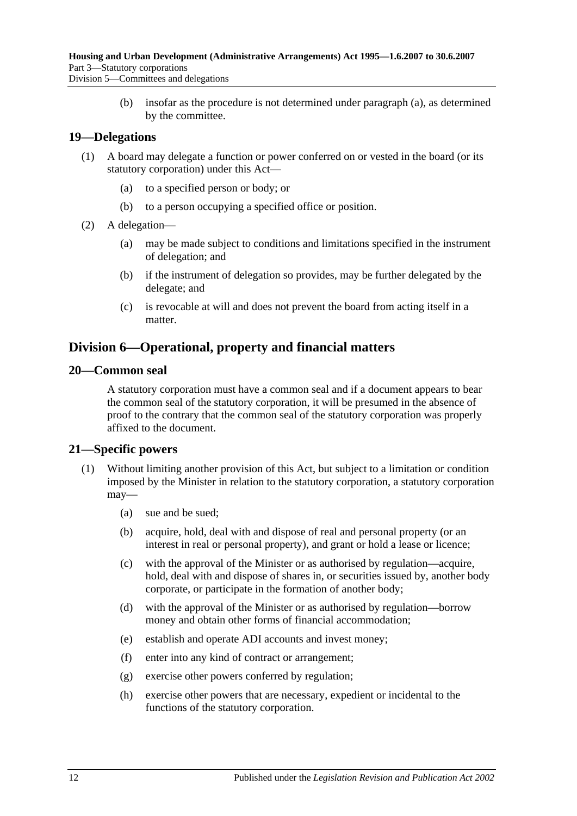(b) insofar as the procedure is not determined under [paragraph](#page-10-4) (a), as determined by the committee.

#### <span id="page-11-0"></span>**19—Delegations**

- (1) A board may delegate a function or power conferred on or vested in the board (or its statutory corporation) under this Act—
	- (a) to a specified person or body; or
	- (b) to a person occupying a specified office or position.
- (2) A delegation—
	- (a) may be made subject to conditions and limitations specified in the instrument of delegation; and
	- (b) if the instrument of delegation so provides, may be further delegated by the delegate; and
	- (c) is revocable at will and does not prevent the board from acting itself in a matter.

## <span id="page-11-1"></span>**Division 6—Operational, property and financial matters**

#### <span id="page-11-2"></span>**20—Common seal**

A statutory corporation must have a common seal and if a document appears to bear the common seal of the statutory corporation, it will be presumed in the absence of proof to the contrary that the common seal of the statutory corporation was properly affixed to the document.

#### <span id="page-11-3"></span>**21—Specific powers**

- <span id="page-11-4"></span>(1) Without limiting another provision of this Act, but subject to a limitation or condition imposed by the Minister in relation to the statutory corporation, a statutory corporation may—
	- (a) sue and be sued;
	- (b) acquire, hold, deal with and dispose of real and personal property (or an interest in real or personal property), and grant or hold a lease or licence;
	- (c) with the approval of the Minister or as authorised by regulation—acquire, hold, deal with and dispose of shares in, or securities issued by, another body corporate, or participate in the formation of another body;
	- (d) with the approval of the Minister or as authorised by regulation—borrow money and obtain other forms of financial accommodation;
	- (e) establish and operate ADI accounts and invest money;
	- (f) enter into any kind of contract or arrangement;
	- (g) exercise other powers conferred by regulation;
	- (h) exercise other powers that are necessary, expedient or incidental to the functions of the statutory corporation.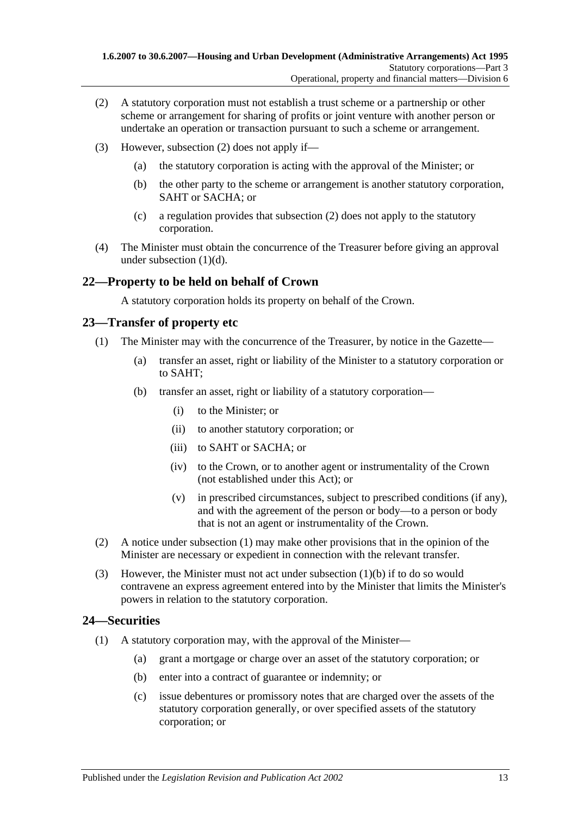- <span id="page-12-3"></span>(2) A statutory corporation must not establish a trust scheme or a partnership or other scheme or arrangement for sharing of profits or joint venture with another person or undertake an operation or transaction pursuant to such a scheme or arrangement.
- (3) However, [subsection](#page-12-3) (2) does not apply if—
	- (a) the statutory corporation is acting with the approval of the Minister; or
	- (b) the other party to the scheme or arrangement is another statutory corporation, SAHT or SACHA; or
	- (c) a regulation provides that [subsection](#page-12-3) (2) does not apply to the statutory corporation.
- (4) The Minister must obtain the concurrence of the Treasurer before giving an approval under [subsection](#page-11-4) (1)(d).

### <span id="page-12-0"></span>**22—Property to be held on behalf of Crown**

A statutory corporation holds its property on behalf of the Crown.

#### <span id="page-12-4"></span><span id="page-12-1"></span>**23—Transfer of property etc**

- <span id="page-12-5"></span>(1) The Minister may with the concurrence of the Treasurer, by notice in the Gazette—
	- (a) transfer an asset, right or liability of the Minister to a statutory corporation or to SAHT;
	- (b) transfer an asset, right or liability of a statutory corporation—
		- (i) to the Minister; or
		- (ii) to another statutory corporation; or
		- (iii) to SAHT or SACHA; or
		- (iv) to the Crown, or to another agent or instrumentality of the Crown (not established under this Act); or
		- (v) in prescribed circumstances, subject to prescribed conditions (if any), and with the agreement of the person or body—to a person or body that is not an agent or instrumentality of the Crown.
- (2) A notice under [subsection](#page-12-4) (1) may make other provisions that in the opinion of the Minister are necessary or expedient in connection with the relevant transfer.
- (3) However, the Minister must not act under [subsection](#page-12-5) (1)(b) if to do so would contravene an express agreement entered into by the Minister that limits the Minister's powers in relation to the statutory corporation.

#### <span id="page-12-6"></span><span id="page-12-2"></span>**24—Securities**

- (1) A statutory corporation may, with the approval of the Minister—
	- (a) grant a mortgage or charge over an asset of the statutory corporation; or
	- (b) enter into a contract of guarantee or indemnity; or
	- (c) issue debentures or promissory notes that are charged over the assets of the statutory corporation generally, or over specified assets of the statutory corporation; or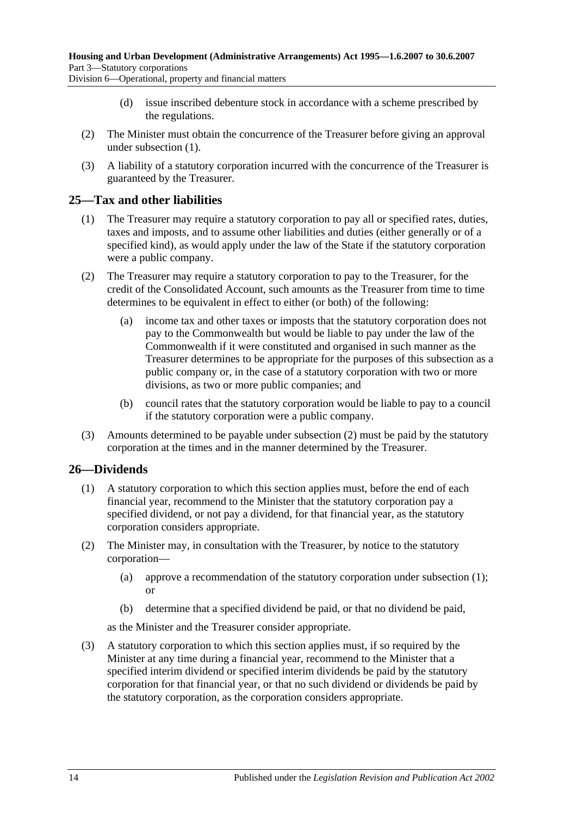Division 6—Operational, property and financial matters

- (d) issue inscribed debenture stock in accordance with a scheme prescribed by the regulations.
- (2) The Minister must obtain the concurrence of the Treasurer before giving an approval under [subsection](#page-12-6) (1).
- (3) A liability of a statutory corporation incurred with the concurrence of the Treasurer is guaranteed by the Treasurer.

#### <span id="page-13-0"></span>**25—Tax and other liabilities**

- (1) The Treasurer may require a statutory corporation to pay all or specified rates, duties, taxes and imposts, and to assume other liabilities and duties (either generally or of a specified kind), as would apply under the law of the State if the statutory corporation were a public company.
- <span id="page-13-2"></span>(2) The Treasurer may require a statutory corporation to pay to the Treasurer, for the credit of the Consolidated Account, such amounts as the Treasurer from time to time determines to be equivalent in effect to either (or both) of the following:
	- (a) income tax and other taxes or imposts that the statutory corporation does not pay to the Commonwealth but would be liable to pay under the law of the Commonwealth if it were constituted and organised in such manner as the Treasurer determines to be appropriate for the purposes of this subsection as a public company or, in the case of a statutory corporation with two or more divisions, as two or more public companies; and
	- (b) council rates that the statutory corporation would be liable to pay to a council if the statutory corporation were a public company.
- (3) Amounts determined to be payable under [subsection](#page-13-2) (2) must be paid by the statutory corporation at the times and in the manner determined by the Treasurer.

## <span id="page-13-3"></span><span id="page-13-1"></span>**26—Dividends**

- (1) A statutory corporation to which this section applies must, before the end of each financial year, recommend to the Minister that the statutory corporation pay a specified dividend, or not pay a dividend, for that financial year, as the statutory corporation considers appropriate.
- (2) The Minister may, in consultation with the Treasurer, by notice to the statutory corporation—
	- (a) approve a recommendation of the statutory corporation under [subsection](#page-13-3) (1); or
	- (b) determine that a specified dividend be paid, or that no dividend be paid,

as the Minister and the Treasurer consider appropriate.

<span id="page-13-4"></span>(3) A statutory corporation to which this section applies must, if so required by the Minister at any time during a financial year, recommend to the Minister that a specified interim dividend or specified interim dividends be paid by the statutory corporation for that financial year, or that no such dividend or dividends be paid by the statutory corporation, as the corporation considers appropriate.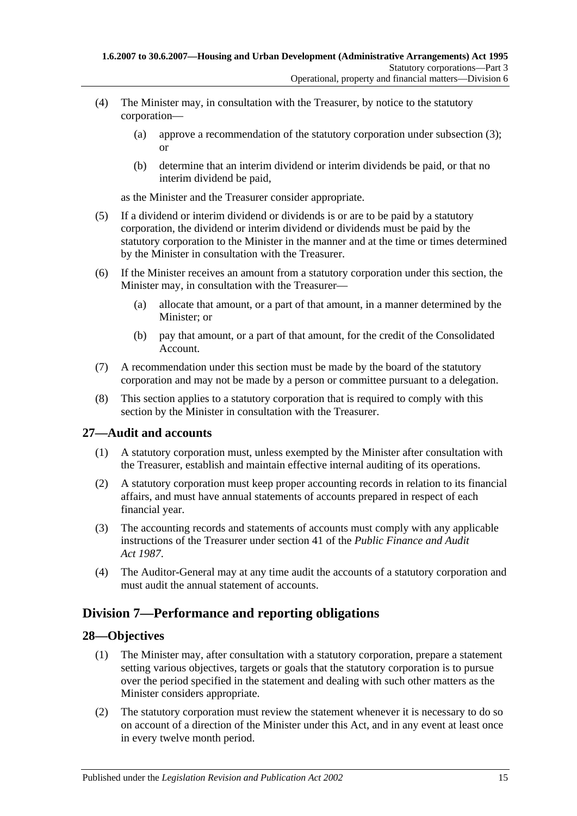- (4) The Minister may, in consultation with the Treasurer, by notice to the statutory corporation—
	- (a) approve a recommendation of the statutory corporation under [subsection](#page-13-4) (3); or
	- (b) determine that an interim dividend or interim dividends be paid, or that no interim dividend be paid,

as the Minister and the Treasurer consider appropriate.

- (5) If a dividend or interim dividend or dividends is or are to be paid by a statutory corporation, the dividend or interim dividend or dividends must be paid by the statutory corporation to the Minister in the manner and at the time or times determined by the Minister in consultation with the Treasurer.
- (6) If the Minister receives an amount from a statutory corporation under this section, the Minister may, in consultation with the Treasurer—
	- (a) allocate that amount, or a part of that amount, in a manner determined by the Minister; or
	- (b) pay that amount, or a part of that amount, for the credit of the Consolidated Account.
- (7) A recommendation under this section must be made by the board of the statutory corporation and may not be made by a person or committee pursuant to a delegation.
- (8) This section applies to a statutory corporation that is required to comply with this section by the Minister in consultation with the Treasurer.

## <span id="page-14-0"></span>**27—Audit and accounts**

- (1) A statutory corporation must, unless exempted by the Minister after consultation with the Treasurer, establish and maintain effective internal auditing of its operations.
- (2) A statutory corporation must keep proper accounting records in relation to its financial affairs, and must have annual statements of accounts prepared in respect of each financial year.
- (3) The accounting records and statements of accounts must comply with any applicable instructions of the Treasurer under section 41 of the *[Public Finance and Audit](http://www.legislation.sa.gov.au/index.aspx?action=legref&type=act&legtitle=Public%20Finance%20and%20Audit%20Act%201987)  Act [1987](http://www.legislation.sa.gov.au/index.aspx?action=legref&type=act&legtitle=Public%20Finance%20and%20Audit%20Act%201987)*.
- (4) The Auditor-General may at any time audit the accounts of a statutory corporation and must audit the annual statement of accounts.

## <span id="page-14-1"></span>**Division 7—Performance and reporting obligations**

#### <span id="page-14-2"></span>**28—Objectives**

- (1) The Minister may, after consultation with a statutory corporation, prepare a statement setting various objectives, targets or goals that the statutory corporation is to pursue over the period specified in the statement and dealing with such other matters as the Minister considers appropriate.
- (2) The statutory corporation must review the statement whenever it is necessary to do so on account of a direction of the Minister under this Act, and in any event at least once in every twelve month period.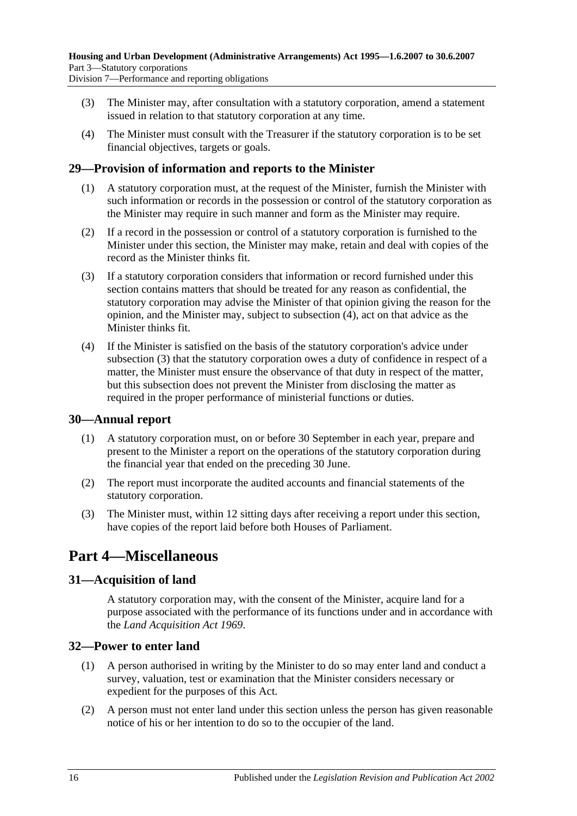- - (3) The Minister may, after consultation with a statutory corporation, amend a statement issued in relation to that statutory corporation at any time.
	- (4) The Minister must consult with the Treasurer if the statutory corporation is to be set financial objectives, targets or goals.

## <span id="page-15-0"></span>**29—Provision of information and reports to the Minister**

- (1) A statutory corporation must, at the request of the Minister, furnish the Minister with such information or records in the possession or control of the statutory corporation as the Minister may require in such manner and form as the Minister may require.
- (2) If a record in the possession or control of a statutory corporation is furnished to the Minister under this section, the Minister may make, retain and deal with copies of the record as the Minister thinks fit.
- <span id="page-15-6"></span>(3) If a statutory corporation considers that information or record furnished under this section contains matters that should be treated for any reason as confidential, the statutory corporation may advise the Minister of that opinion giving the reason for the opinion, and the Minister may, subject to [subsection](#page-15-5) (4), act on that advice as the Minister thinks fit.
- <span id="page-15-5"></span>(4) If the Minister is satisfied on the basis of the statutory corporation's advice under [subsection](#page-15-6) (3) that the statutory corporation owes a duty of confidence in respect of a matter, the Minister must ensure the observance of that duty in respect of the matter, but this subsection does not prevent the Minister from disclosing the matter as required in the proper performance of ministerial functions or duties.

## <span id="page-15-1"></span>**30—Annual report**

- (1) A statutory corporation must, on or before 30 September in each year, prepare and present to the Minister a report on the operations of the statutory corporation during the financial year that ended on the preceding 30 June.
- (2) The report must incorporate the audited accounts and financial statements of the statutory corporation.
- (3) The Minister must, within 12 sitting days after receiving a report under this section, have copies of the report laid before both Houses of Parliament.

## <span id="page-15-2"></span>**Part 4—Miscellaneous**

## <span id="page-15-3"></span>**31—Acquisition of land**

A statutory corporation may, with the consent of the Minister, acquire land for a purpose associated with the performance of its functions under and in accordance with the *[Land Acquisition Act](http://www.legislation.sa.gov.au/index.aspx?action=legref&type=act&legtitle=Land%20Acquisition%20Act%201969) 1969*.

## <span id="page-15-4"></span>**32—Power to enter land**

- (1) A person authorised in writing by the Minister to do so may enter land and conduct a survey, valuation, test or examination that the Minister considers necessary or expedient for the purposes of this Act.
- (2) A person must not enter land under this section unless the person has given reasonable notice of his or her intention to do so to the occupier of the land.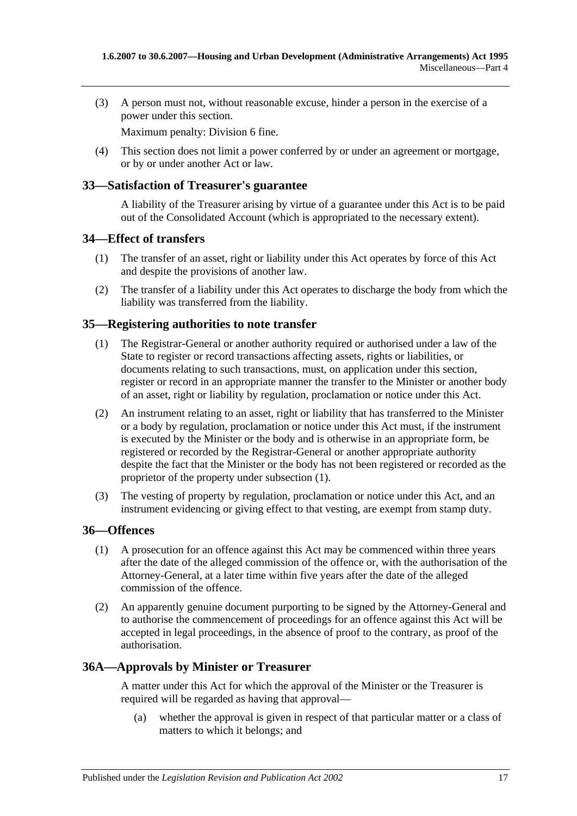(3) A person must not, without reasonable excuse, hinder a person in the exercise of a power under this section.

Maximum penalty: Division 6 fine.

(4) This section does not limit a power conferred by or under an agreement or mortgage, or by or under another Act or law.

#### <span id="page-16-0"></span>**33—Satisfaction of Treasurer's guarantee**

A liability of the Treasurer arising by virtue of a guarantee under this Act is to be paid out of the Consolidated Account (which is appropriated to the necessary extent).

#### <span id="page-16-1"></span>**34—Effect of transfers**

- (1) The transfer of an asset, right or liability under this Act operates by force of this Act and despite the provisions of another law.
- (2) The transfer of a liability under this Act operates to discharge the body from which the liability was transferred from the liability.

#### <span id="page-16-5"></span><span id="page-16-2"></span>**35—Registering authorities to note transfer**

- (1) The Registrar-General or another authority required or authorised under a law of the State to register or record transactions affecting assets, rights or liabilities, or documents relating to such transactions, must, on application under this section, register or record in an appropriate manner the transfer to the Minister or another body of an asset, right or liability by regulation, proclamation or notice under this Act.
- (2) An instrument relating to an asset, right or liability that has transferred to the Minister or a body by regulation, proclamation or notice under this Act must, if the instrument is executed by the Minister or the body and is otherwise in an appropriate form, be registered or recorded by the Registrar-General or another appropriate authority despite the fact that the Minister or the body has not been registered or recorded as the proprietor of the property under [subsection](#page-16-5) (1).
- (3) The vesting of property by regulation, proclamation or notice under this Act, and an instrument evidencing or giving effect to that vesting, are exempt from stamp duty.

#### <span id="page-16-3"></span>**36—Offences**

- (1) A prosecution for an offence against this Act may be commenced within three years after the date of the alleged commission of the offence or, with the authorisation of the Attorney-General, at a later time within five years after the date of the alleged commission of the offence.
- (2) An apparently genuine document purporting to be signed by the Attorney-General and to authorise the commencement of proceedings for an offence against this Act will be accepted in legal proceedings, in the absence of proof to the contrary, as proof of the authorisation.

#### <span id="page-16-4"></span>**36A—Approvals by Minister or Treasurer**

A matter under this Act for which the approval of the Minister or the Treasurer is required will be regarded as having that approval—

(a) whether the approval is given in respect of that particular matter or a class of matters to which it belongs; and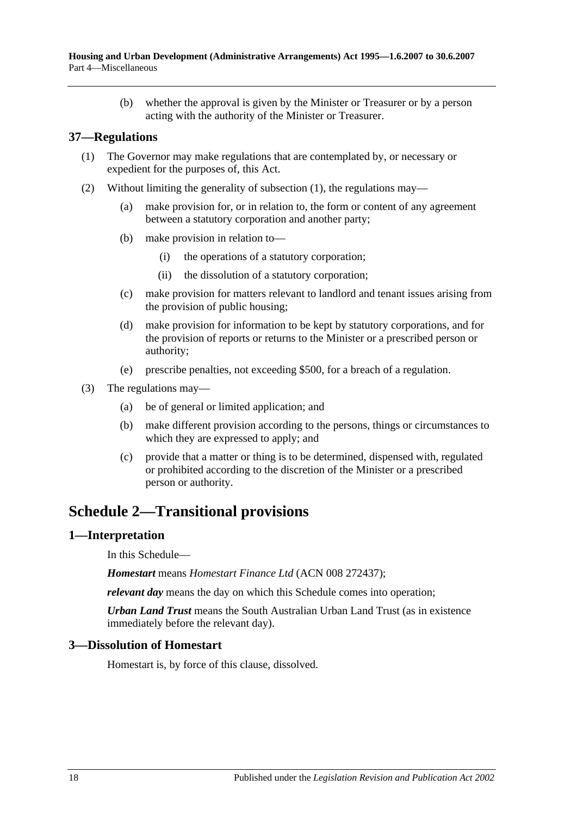(b) whether the approval is given by the Minister or Treasurer or by a person acting with the authority of the Minister or Treasurer.

#### <span id="page-17-4"></span><span id="page-17-0"></span>**37—Regulations**

- (1) The Governor may make regulations that are contemplated by, or necessary or expedient for the purposes of, this Act.
- (2) Without limiting the generality of [subsection](#page-17-4) (1), the regulations may—
	- (a) make provision for, or in relation to, the form or content of any agreement between a statutory corporation and another party;
	- (b) make provision in relation to—
		- (i) the operations of a statutory corporation;
		- (ii) the dissolution of a statutory corporation;
	- (c) make provision for matters relevant to landlord and tenant issues arising from the provision of public housing;
	- (d) make provision for information to be kept by statutory corporations, and for the provision of reports or returns to the Minister or a prescribed person or authority;
	- (e) prescribe penalties, not exceeding \$500, for a breach of a regulation.
- (3) The regulations may—
	- (a) be of general or limited application; and
	- (b) make different provision according to the persons, things or circumstances to which they are expressed to apply; and
	- (c) provide that a matter or thing is to be determined, dispensed with, regulated or prohibited according to the discretion of the Minister or a prescribed person or authority.

## <span id="page-17-1"></span>**Schedule 2—Transitional provisions**

#### <span id="page-17-2"></span>**1—Interpretation**

In this Schedule—

*Homestart* means *Homestart Finance Ltd* (ACN 008 272437);

*relevant day* means the day on which this Schedule comes into operation;

*Urban Land Trust* means the South Australian Urban Land Trust (as in existence immediately before the relevant day).

#### <span id="page-17-3"></span>**3—Dissolution of Homestart**

Homestart is, by force of this clause, dissolved.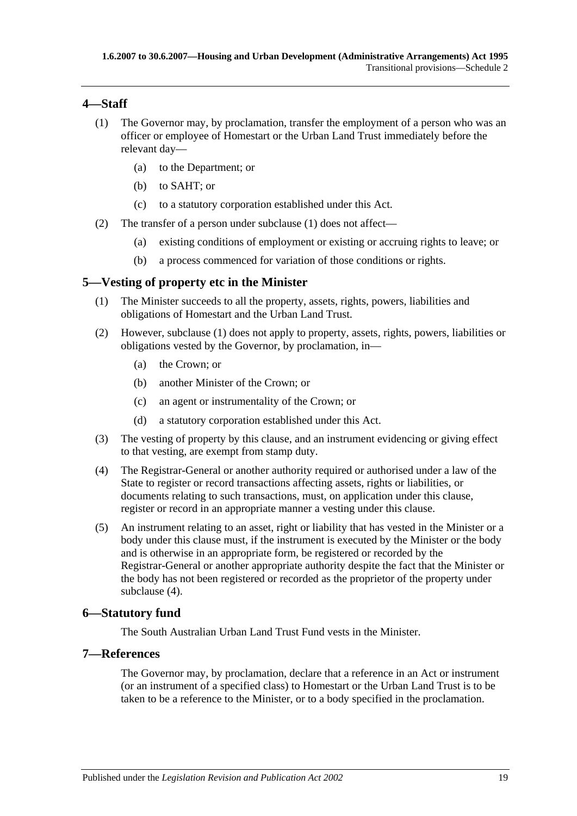### <span id="page-18-4"></span><span id="page-18-0"></span>**4—Staff**

- (1) The Governor may, by proclamation, transfer the employment of a person who was an officer or employee of Homestart or the Urban Land Trust immediately before the relevant day—
	- (a) to the Department; or
	- (b) to SAHT; or
	- (c) to a statutory corporation established under this Act.
- (2) The transfer of a person under [subclause](#page-18-4) (1) does not affect—
	- (a) existing conditions of employment or existing or accruing rights to leave; or
	- (b) a process commenced for variation of those conditions or rights.

### <span id="page-18-5"></span><span id="page-18-1"></span>**5—Vesting of property etc in the Minister**

- (1) The Minister succeeds to all the property, assets, rights, powers, liabilities and obligations of Homestart and the Urban Land Trust.
- (2) However, [subclause](#page-18-5) (1) does not apply to property, assets, rights, powers, liabilities or obligations vested by the Governor, by proclamation, in—
	- (a) the Crown; or
	- (b) another Minister of the Crown; or
	- (c) an agent or instrumentality of the Crown; or
	- (d) a statutory corporation established under this Act.
- (3) The vesting of property by this clause, and an instrument evidencing or giving effect to that vesting, are exempt from stamp duty.
- <span id="page-18-6"></span>(4) The Registrar-General or another authority required or authorised under a law of the State to register or record transactions affecting assets, rights or liabilities, or documents relating to such transactions, must, on application under this clause, register or record in an appropriate manner a vesting under this clause.
- (5) An instrument relating to an asset, right or liability that has vested in the Minister or a body under this clause must, if the instrument is executed by the Minister or the body and is otherwise in an appropriate form, be registered or recorded by the Registrar-General or another appropriate authority despite the fact that the Minister or the body has not been registered or recorded as the proprietor of the property under [subclause](#page-18-6) (4).

## <span id="page-18-2"></span>**6—Statutory fund**

The South Australian Urban Land Trust Fund vests in the Minister.

#### <span id="page-18-3"></span>**7—References**

The Governor may, by proclamation, declare that a reference in an Act or instrument (or an instrument of a specified class) to Homestart or the Urban Land Trust is to be taken to be a reference to the Minister, or to a body specified in the proclamation.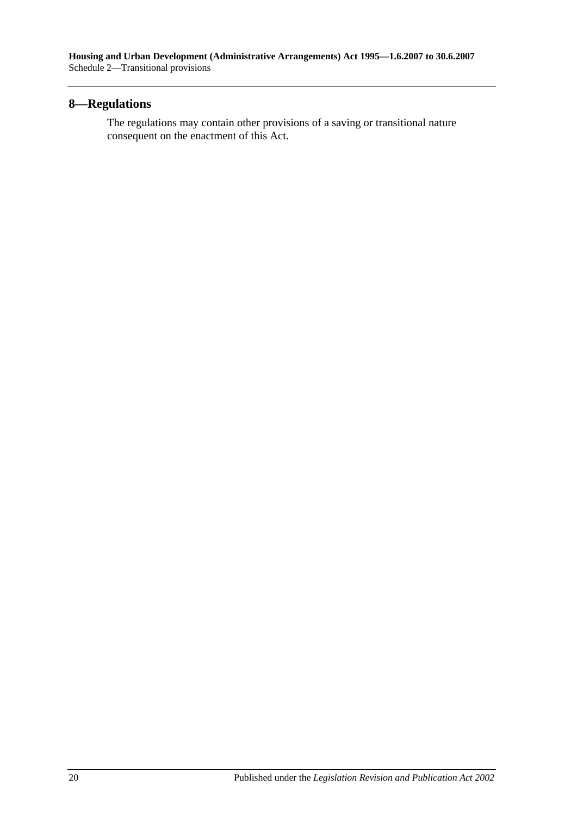## <span id="page-19-0"></span>**8—Regulations**

The regulations may contain other provisions of a saving or transitional nature consequent on the enactment of this Act.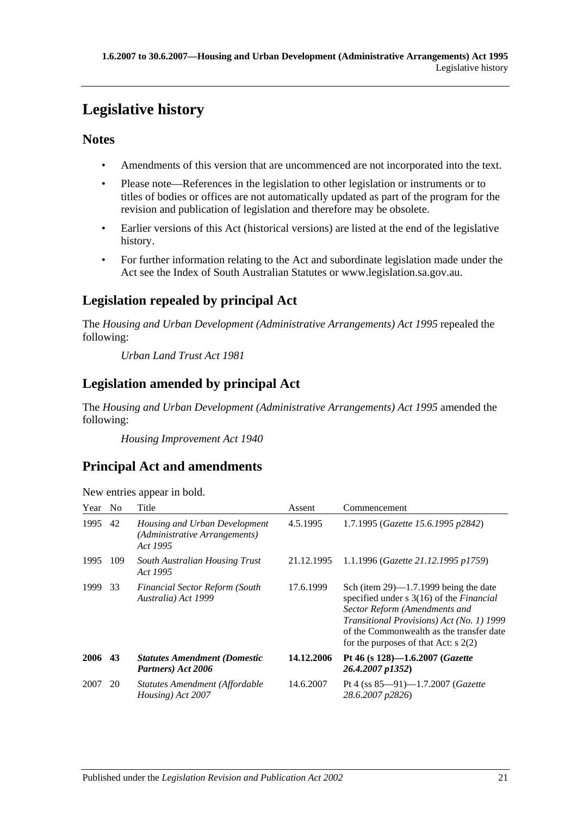# <span id="page-20-0"></span>**Legislative history**

## **Notes**

- Amendments of this version that are uncommenced are not incorporated into the text.
- Please note—References in the legislation to other legislation or instruments or to titles of bodies or offices are not automatically updated as part of the program for the revision and publication of legislation and therefore may be obsolete.
- Earlier versions of this Act (historical versions) are listed at the end of the legislative history.
- For further information relating to the Act and subordinate legislation made under the Act see the Index of South Australian Statutes or www.legislation.sa.gov.au.

## **Legislation repealed by principal Act**

The *Housing and Urban Development (Administrative Arrangements) Act 1995* repealed the following:

*Urban Land Trust Act 1981*

## **Legislation amended by principal Act**

The *Housing and Urban Development (Administrative Arrangements) Act 1995* amended the following:

*Housing Improvement Act 1940*

## **Principal Act and amendments**

| Year | N <sub>0</sub> | Title                                                                      | Assent     | Commencement                                                                                                                                                                                                                                                    |
|------|----------------|----------------------------------------------------------------------------|------------|-----------------------------------------------------------------------------------------------------------------------------------------------------------------------------------------------------------------------------------------------------------------|
| 1995 | 42             | Housing and Urban Development<br>(Administrative Arrangements)<br>Act 1995 | 4.5.1995   | 1.7.1995 (Gazette 15.6.1995 p2842)                                                                                                                                                                                                                              |
| 1995 | 109            | <b>South Australian Housing Trust</b><br>Act 1995                          | 21.12.1995 | 1.1.1996 (Gazette 21.12.1995 p1759)                                                                                                                                                                                                                             |
| 1999 | 33             | <b>Financial Sector Reform (South</b><br>Australia) Act 1999               | 17.6.1999  | Sch (item $29$ )—1.7.1999 being the date<br>specified under s 3(16) of the <i>Financial</i><br>Sector Reform (Amendments and<br>Transitional Provisions) Act (No. 1) 1999<br>of the Commonwealth as the transfer date<br>for the purposes of that Act: $s$ 2(2) |
| 2006 | 43             | <b>Statutes Amendment (Domestic</b><br>Partners) Act 2006                  | 14.12.2006 | Pt 46 (s 128)-1.6.2007 (Gazette<br>26.4.2007 p1352)                                                                                                                                                                                                             |
| 2007 | 20             | Statutes Amendment (Affordable<br>Housing) Act 2007                        | 14.6.2007  | Pt 4 (ss $85-91$ )-1.7.2007 ( <i>Gazette</i><br>28.6.2007 p2826)                                                                                                                                                                                                |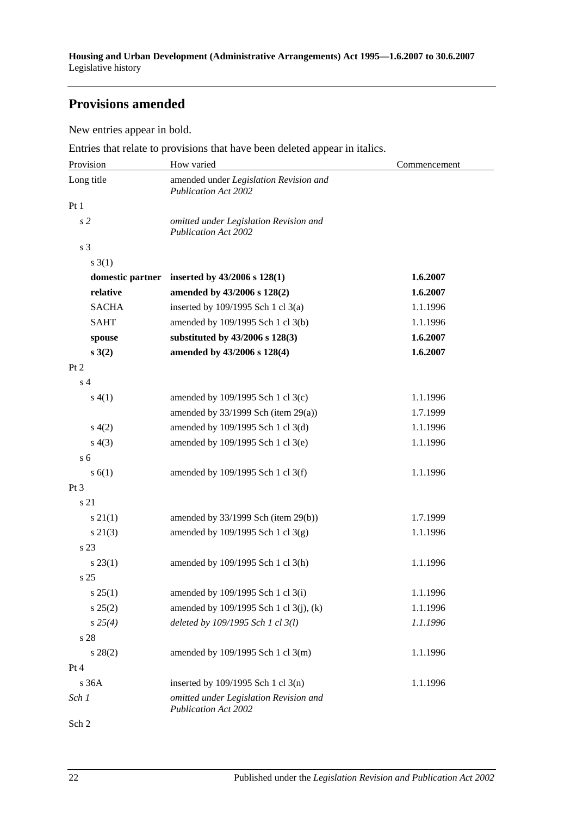## **Provisions amended**

New entries appear in bold.

Entries that relate to provisions that have been deleted appear in italics.

| Provision      | How varied                                                            | Commencement |
|----------------|-----------------------------------------------------------------------|--------------|
| Long title     | amended under Legislation Revision and<br><b>Publication Act 2002</b> |              |
| Pt1            |                                                                       |              |
| s <sub>2</sub> | omitted under Legislation Revision and<br><b>Publication Act 2002</b> |              |
| s <sub>3</sub> |                                                                       |              |
| $s \; 3(1)$    |                                                                       |              |
|                | domestic partner inserted by $43/2006$ s $128(1)$                     | 1.6.2007     |
| relative       | amended by 43/2006 s 128(2)                                           | 1.6.2007     |
| <b>SACHA</b>   | inserted by 109/1995 Sch 1 cl 3(a)                                    | 1.1.1996     |
| <b>SAHT</b>    | amended by 109/1995 Sch 1 cl 3(b)                                     | 1.1.1996     |
| spouse         | substituted by 43/2006 s 128(3)                                       | 1.6.2007     |
| s(2)           | amended by 43/2006 s 128(4)                                           | 1.6.2007     |
| Pt 2           |                                                                       |              |
| s <sub>4</sub> |                                                                       |              |
| s(4(1))        | amended by 109/1995 Sch 1 cl 3(c)                                     | 1.1.1996     |
|                | amended by $33/1999$ Sch (item 29(a))                                 | 1.7.1999     |
| s(4(2)         | amended by 109/1995 Sch 1 cl 3(d)                                     | 1.1.1996     |
| s(4(3))        | amended by 109/1995 Sch 1 cl 3(e)                                     | 1.1.1996     |
| s <sub>6</sub> |                                                                       |              |
| s(6(1))        | amended by 109/1995 Sch 1 cl 3(f)                                     | 1.1.1996     |
| $Pt\,3$        |                                                                       |              |
| s 21           |                                                                       |              |
| $s \, 21(1)$   | amended by $33/1999$ Sch (item 29(b))                                 | 1.7.1999     |
| $s \, 21(3)$   | amended by 109/1995 Sch 1 cl 3(g)                                     | 1.1.1996     |
| s 23           |                                                                       |              |
| $s\,23(1)$     | amended by 109/1995 Sch 1 cl 3(h)                                     | 1.1.1996     |
| s 25           |                                                                       |              |
| s 25(1)        | amended by 109/1995 Sch 1 cl 3(i)                                     | 1.1.1996     |
| $s\,25(2)$     | amended by 109/1995 Sch 1 cl 3(j), (k)                                | 1.1.1996     |
| s 25(4)        | deleted by 109/1995 Sch 1 cl 3(l)                                     | 1.1.1996     |
| s 28           |                                                                       |              |
| $s\,28(2)$     | amended by 109/1995 Sch 1 cl 3(m)                                     | 1.1.1996     |
| Pt 4           |                                                                       |              |
| s 36A          | inserted by $109/1995$ Sch 1 cl 3(n)                                  | 1.1.1996     |
| Sch 1          | omitted under Legislation Revision and<br><b>Publication Act 2002</b> |              |

Sch 2